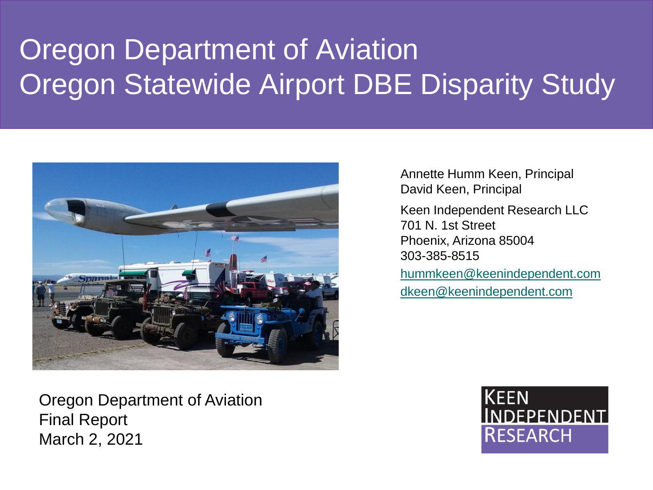# Oregon Department of Aviation Oregon Statewide Airport DBE Disparity Study



Annette Humm Keen, Principal David Keen, Principal Keen Independent Research LLC 701 N. 1st Street Phoenix, Arizona 85004 303-385-8515 [hummkeen@keenindependent.com](mailto:hummkeen@keenindependent.com) [dkeen@keenindependent.com](mailto:Dkeen@keenindependent.com)

Oregon Department of Aviation Final Report March 2, 2021

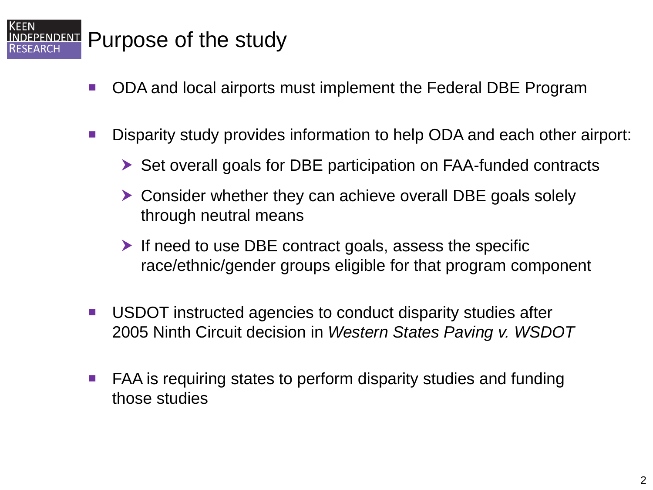### **EPENDENT** Purpose of the study

KEEN

- ODA and local airports must implement the Federal DBE Program
- Disparity study provides information to help ODA and each other airport:
	- ▶ Set overall goals for DBE participation on FAA-funded contracts
	- ▶ Consider whether they can achieve overall DBE goals solely through neutral means
	- $\blacktriangleright$  If need to use DBE contract goals, assess the specific race/ethnic/gender groups eligible for that program component
- USDOT instructed agencies to conduct disparity studies after 2005 Ninth Circuit decision in *Western States Paving v. WSDOT*
- FAA is requiring states to perform disparity studies and funding those studies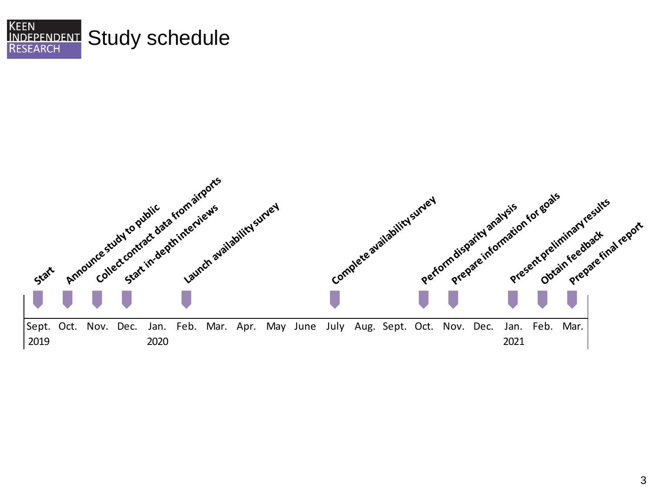

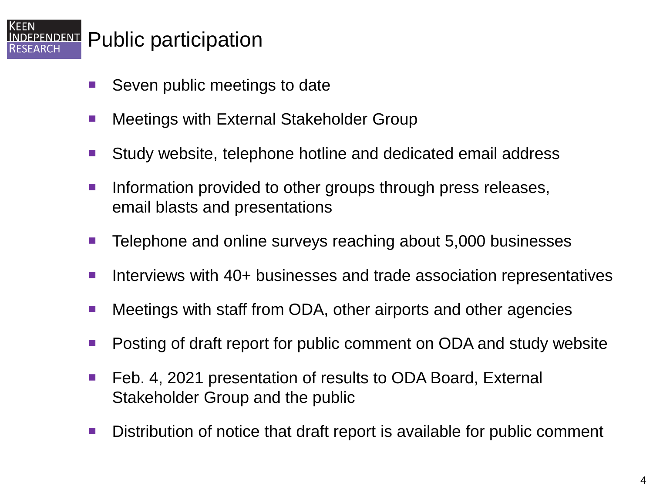### **EPENDENT** Public participation

**KEEN** 

EARCH

- Seven public meetings to date
- Meetings with External Stakeholder Group
- Study website, telephone hotline and dedicated email address
- Information provided to other groups through press releases, email blasts and presentations
- Telephone and online surveys reaching about 5,000 businesses
- Interviews with 40+ businesses and trade association representatives
- Meetings with staff from ODA, other airports and other agencies
- Posting of draft report for public comment on ODA and study website
- Feb. 4, 2021 presentation of results to ODA Board, External Stakeholder Group and the public
- Distribution of notice that draft report is available for public comment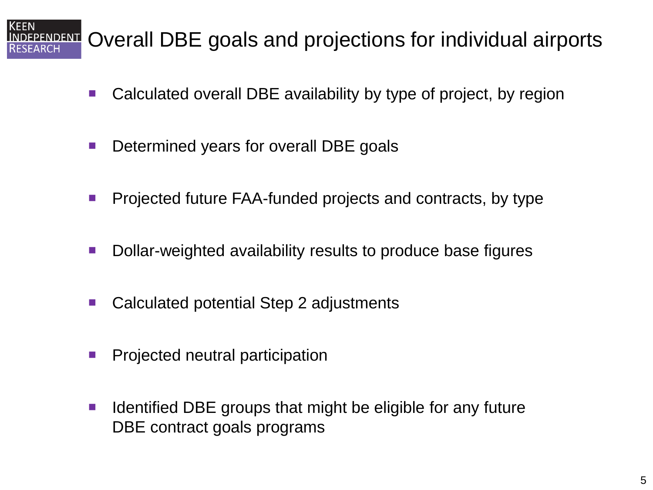### Overall DBE goals and projections for individual airports **ENDENT**

- Calculated overall DBE availability by type of project, by region
- **Determined years for overall DBE goals**
- **Projected future FAA-funded projects and contracts, by type**
- Dollar-weighted availability results to produce base figures
- Calculated potential Step 2 adjustments
- **Projected neutral participation**
- $\blacksquare$  Identified DBE groups that might be eligible for any future DBE contract goals programs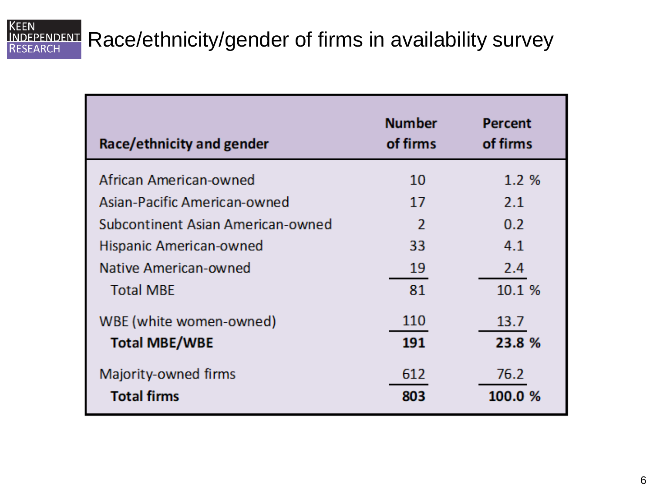### **KEEN** INDEPENDENT

### Race/ethnicity/gender of firms in availability survey

| Race/ethnicity and gender         | <b>Number</b><br>of firms | <b>Percent</b><br>of firms |
|-----------------------------------|---------------------------|----------------------------|
| African American-owned            | 10                        | $1.2\%$                    |
| Asian-Pacific American-owned      | 17                        | 2.1                        |
| Subcontinent Asian American-owned | $\mathfrak{p}$            | 0.2                        |
| Hispanic American-owned           | 33                        | 4.1                        |
| Native American-owned             | 19                        | 2.4                        |
| <b>Total MBE</b>                  | 81                        | 10.1%                      |
| WBE (white women-owned)           | 110                       | 13.7                       |
| <b>Total MBE/WBE</b>              | 191                       | 23.8 %                     |
| Majority-owned firms              | 612                       | 76.2                       |
| <b>Total firms</b>                | 803                       | 100.0 %                    |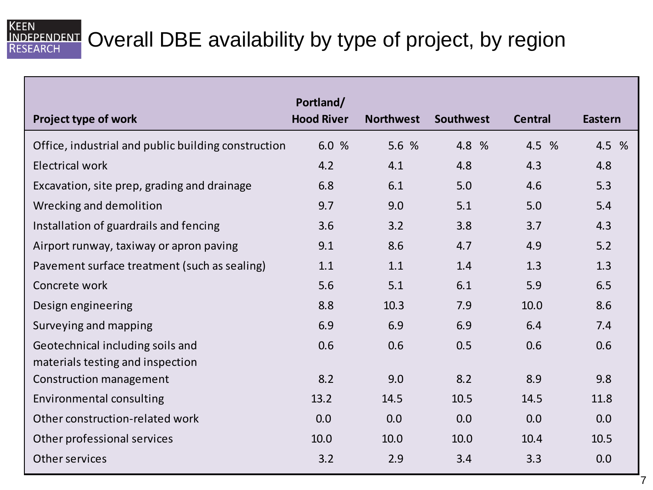### INDEPENDENT Overall DBE availability by type of project, by region **RESEARCH**

**KEEN** 

| Project type of work                                | Portland/<br><b>Hood River</b> | <b>Northwest</b> | Southwest | <b>Central</b> | <b>Eastern</b> |
|-----------------------------------------------------|--------------------------------|------------------|-----------|----------------|----------------|
|                                                     |                                |                  |           |                |                |
| Office, industrial and public building construction | 6.0 %                          | 5.6 %            | 4.8 %     | 4.5 %          | 4.5 %          |
| <b>Electrical work</b>                              | 4.2                            | 4.1              | 4.8       | 4.3            | 4.8            |
| Excavation, site prep, grading and drainage         | 6.8                            | 6.1              | 5.0       | 4.6            | 5.3            |
| Wrecking and demolition                             | 9.7                            | 9.0              | 5.1       | 5.0            | 5.4            |
| Installation of guardrails and fencing              | 3.6                            | 3.2              | 3.8       | 3.7            | 4.3            |
| Airport runway, taxiway or apron paving             | 9.1                            | 8.6              | 4.7       | 4.9            | 5.2            |
| Pavement surface treatment (such as sealing)        | 1.1                            | 1.1              | 1.4       | 1.3            | 1.3            |
| Concrete work                                       | 5.6                            | 5.1              | 6.1       | 5.9            | 6.5            |
| Design engineering                                  | 8.8                            | 10.3             | 7.9       | 10.0           | 8.6            |
| Surveying and mapping                               | 6.9                            | 6.9              | 6.9       | 6.4            | 7.4            |
| Geotechnical including soils and                    | 0.6                            | 0.6              | 0.5       | 0.6            | 0.6            |
| materials testing and inspection                    |                                |                  |           |                |                |
| Construction management                             | 8.2                            | 9.0              | 8.2       | 8.9            | 9.8            |
| Environmental consulting                            | 13.2                           | 14.5             | 10.5      | 14.5           | 11.8           |
| Other construction-related work                     | 0.0                            | 0.0              | 0.0       | 0.0            | 0.0            |
| Other professional services                         | 10.0                           | 10.0             | 10.0      | 10.4           | 10.5           |
| Other services                                      | 3.2                            | 2.9              | 3.4       | 3.3            | 0.0            |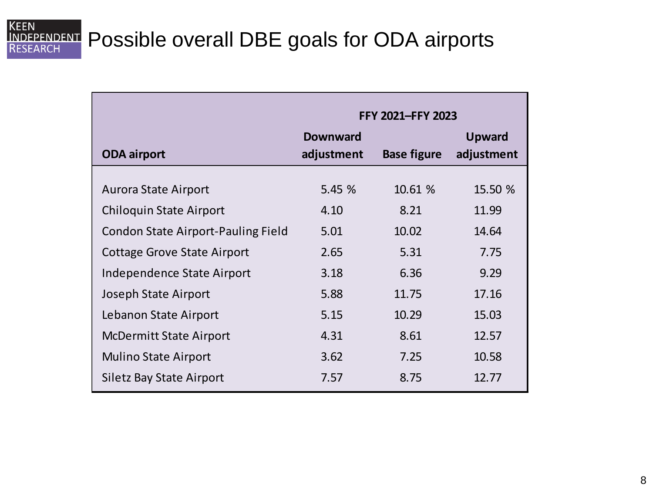## **KEEN**

## **INDEPENDENT** Possible overall DBE goals for ODA airports

|                                    | FFY 2021-FFY 2023             |                    |                             |  |
|------------------------------------|-------------------------------|--------------------|-----------------------------|--|
| <b>ODA airport</b>                 | <b>Downward</b><br>adjustment | <b>Base figure</b> | <b>Upward</b><br>adjustment |  |
| Aurora State Airport               | 5.45%                         | 10.61 %            | 15.50 %                     |  |
| Chiloquin State Airport            | 4.10                          | 8.21               | 11.99                       |  |
| Condon State Airport-Pauling Field | 5.01                          | 10.02              | 14.64                       |  |
| Cottage Grove State Airport        | 2.65                          | 5.31               | 7.75                        |  |
| Independence State Airport         | 3.18                          | 6.36               | 9.29                        |  |
| Joseph State Airport               | 5.88                          | 11.75              | 17.16                       |  |
| Lebanon State Airport              | 5.15                          | 10.29              | 15.03                       |  |
| <b>McDermitt State Airport</b>     | 4.31                          | 8.61               | 12.57                       |  |
| <b>Mulino State Airport</b>        | 3.62                          | 7.25               | 10.58                       |  |
| Siletz Bay State Airport           | 7.57                          | 8.75               | 12.77                       |  |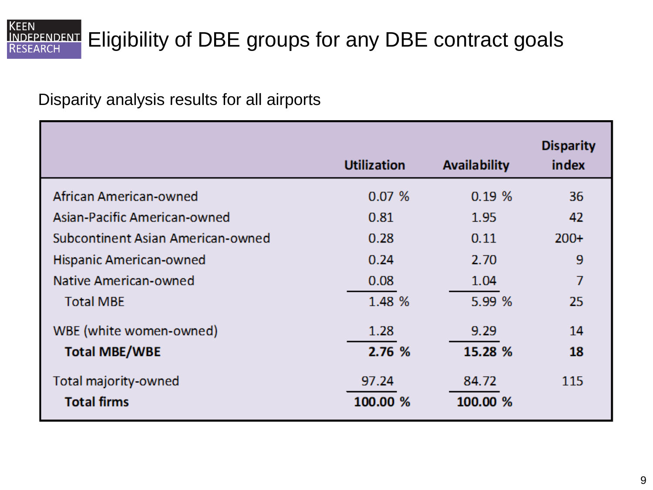#### **KEEN INDEPENDENT** Eligibility of DBE groups for any DBE contract goals **SEARCH**

Disparity analysis results for all airports

|                                            | <b>Utilization</b> | <b>Availability</b> | <b>Disparity</b><br>index |
|--------------------------------------------|--------------------|---------------------|---------------------------|
| African American-owned                     | 0.07%              | 0.19%               | 36                        |
| Asian-Pacific American-owned               | 0.81               | 1.95                | 42                        |
| Subcontinent Asian American-owned          | 0.28               | 0.11                | $200+$                    |
| Hispanic American-owned                    | 0.24               | 2.70                | 9                         |
| Native American-owned                      | 0.08               | 1.04                | $\overline{7}$            |
| <b>Total MBE</b>                           | 1.48 %             | 5.99 %              | 25                        |
| WBE (white women-owned)                    | 1.28               | 9.29                | 14                        |
| <b>Total MBE/WBE</b>                       | 2.76 %             | 15.28 %             | 18                        |
| Total majority-owned<br><b>Total firms</b> | 97.24<br>100.00 %  | 84.72<br>100.00 %   | 115                       |